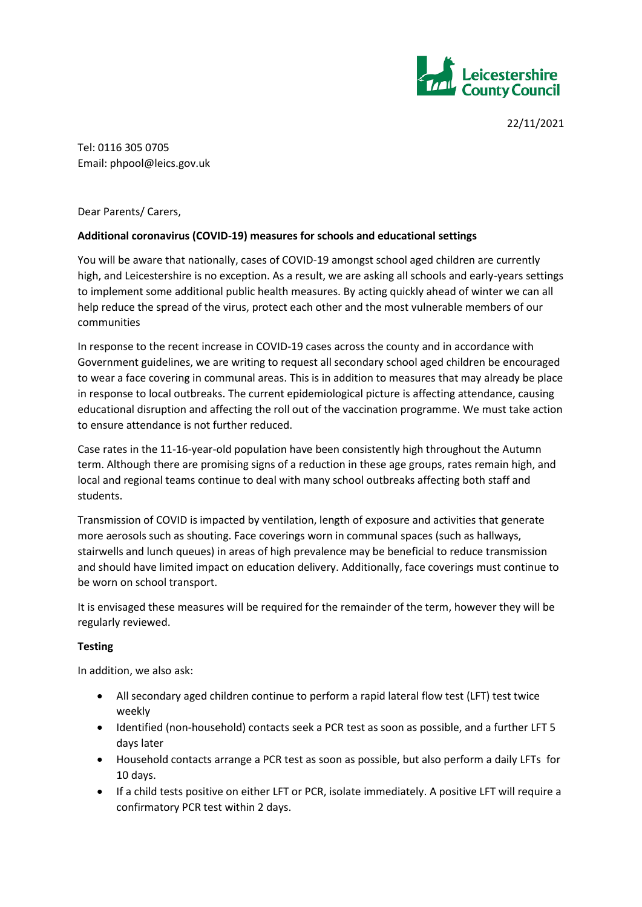

22/11/2021

Tel: 0116 305 0705 Email: phpool@leics.gov.uk

Dear Parents/ Carers,

## **Additional coronavirus (COVID-19) measures for schools and educational settings**

You will be aware that nationally, cases of COVID-19 amongst school aged children are currently high, and Leicestershire is no exception. As a result, we are asking all schools and early-years settings to implement some additional public health measures. By acting quickly ahead of winter we can all help reduce the spread of the virus, protect each other and the most vulnerable members of our communities

In response to the recent increase in COVID-19 cases across the county and in accordance with Government guidelines, we are writing to request all secondary school aged children be encouraged to wear a face covering in communal areas. This is in addition to measures that may already be place in response to local outbreaks. The current epidemiological picture is affecting attendance, causing educational disruption and affecting the roll out of the vaccination programme. We must take action to ensure attendance is not further reduced.

Case rates in the 11-16-year-old population have been consistently high throughout the Autumn term. Although there are promising signs of a reduction in these age groups, rates remain high, and local and regional teams continue to deal with many school outbreaks affecting both staff and students.

Transmission of COVID is impacted by ventilation, length of exposure and activities that generate more aerosols such as shouting. Face coverings worn in communal spaces (such as hallways, stairwells and lunch queues) in areas of high prevalence may be beneficial to reduce transmission and should have limited impact on education delivery. Additionally, face coverings must continue to be worn on school transport.

It is envisaged these measures will be required for the remainder of the term, however they will be regularly reviewed.

## **Testing**

In addition, we also ask:

- All secondary aged children continue to perform a rapid lateral flow test (LFT) test twice weekly
- Identified (non-household) contacts seek a PCR test as soon as possible, and a further LFT 5 days later
- Household contacts arrange a PCR test as soon as possible, but also perform a daily LFTs for 10 days.
- If a child tests positive on either LFT or PCR, isolate immediately. A positive LFT will require a confirmatory PCR test within 2 days.